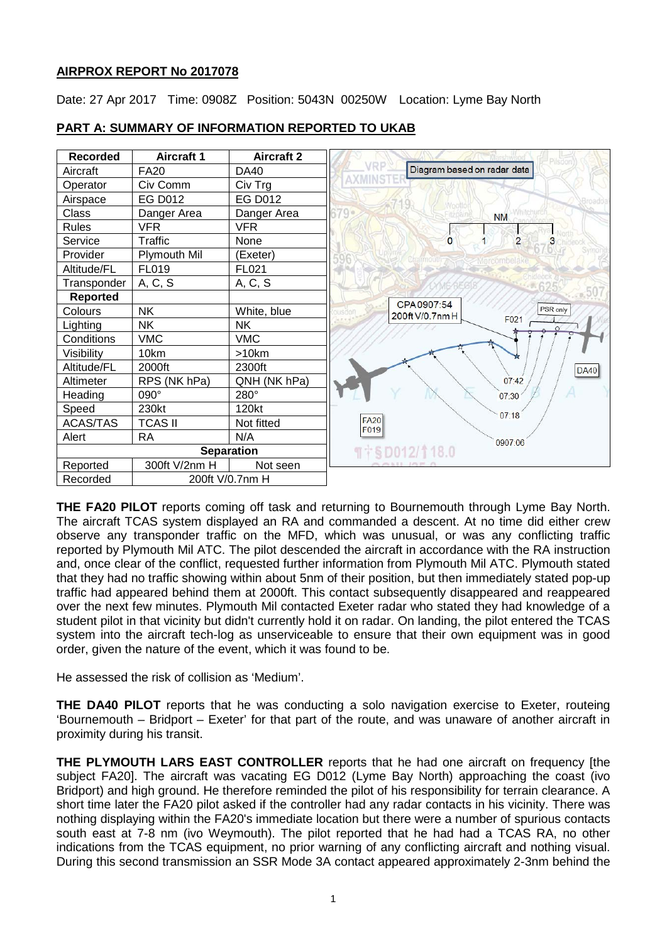# **AIRPROX REPORT No 2017078**

Date: 27 Apr 2017 Time: 0908Z Position: 5043N 00250W Location: Lyme Bay North



# **PART A: SUMMARY OF INFORMATION REPORTED TO UKAB**

**THE FA20 PILOT** reports coming off task and returning to Bournemouth through Lyme Bay North. The aircraft TCAS system displayed an RA and commanded a descent. At no time did either crew observe any transponder traffic on the MFD, which was unusual, or was any conflicting traffic reported by Plymouth Mil ATC. The pilot descended the aircraft in accordance with the RA instruction and, once clear of the conflict, requested further information from Plymouth Mil ATC. Plymouth stated that they had no traffic showing within about 5nm of their position, but then immediately stated pop-up traffic had appeared behind them at 2000ft. This contact subsequently disappeared and reappeared over the next few minutes. Plymouth Mil contacted Exeter radar who stated they had knowledge of a student pilot in that vicinity but didn't currently hold it on radar. On landing, the pilot entered the TCAS system into the aircraft tech-log as unserviceable to ensure that their own equipment was in good order, given the nature of the event, which it was found to be.

He assessed the risk of collision as 'Medium'.

**THE DA40 PILOT** reports that he was conducting a solo navigation exercise to Exeter, routeing 'Bournemouth – Bridport – Exeter' for that part of the route, and was unaware of another aircraft in proximity during his transit.

**THE PLYMOUTH LARS EAST CONTROLLER** reports that he had one aircraft on frequency [the subject FA20]. The aircraft was vacating EG D012 (Lyme Bay North) approaching the coast (ivo Bridport) and high ground. He therefore reminded the pilot of his responsibility for terrain clearance. A short time later the FA20 pilot asked if the controller had any radar contacts in his vicinity. There was nothing displaying within the FA20's immediate location but there were a number of spurious contacts south east at 7-8 nm (ivo Weymouth). The pilot reported that he had had a TCAS RA, no other indications from the TCAS equipment, no prior warning of any conflicting aircraft and nothing visual. During this second transmission an SSR Mode 3A contact appeared approximately 2-3nm behind the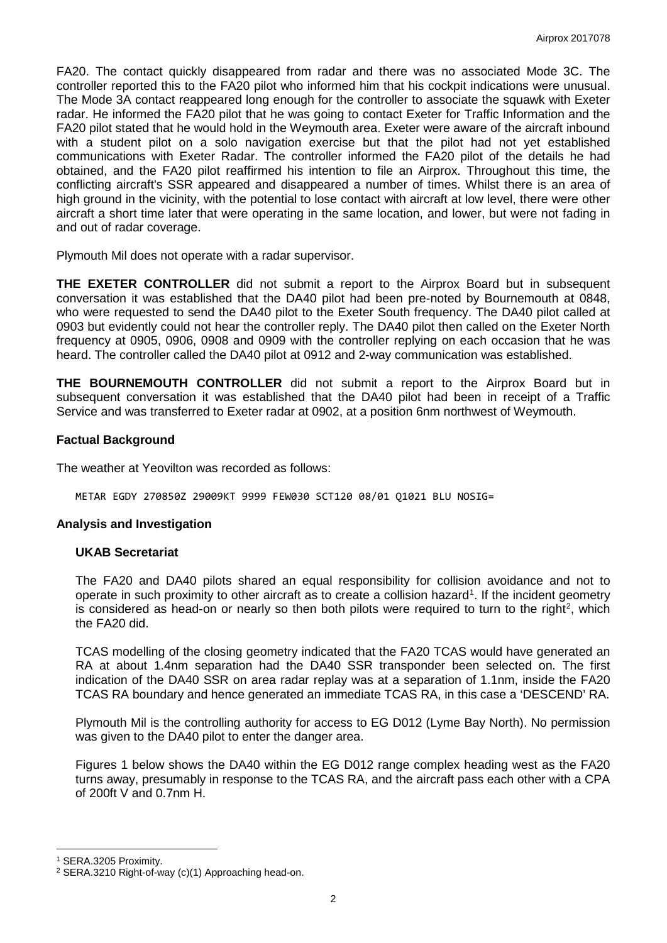FA20. The contact quickly disappeared from radar and there was no associated Mode 3C. The controller reported this to the FA20 pilot who informed him that his cockpit indications were unusual. The Mode 3A contact reappeared long enough for the controller to associate the squawk with Exeter radar. He informed the FA20 pilot that he was going to contact Exeter for Traffic Information and the FA20 pilot stated that he would hold in the Weymouth area. Exeter were aware of the aircraft inbound with a student pilot on a solo navigation exercise but that the pilot had not yet established communications with Exeter Radar. The controller informed the FA20 pilot of the details he had obtained, and the FA20 pilot reaffirmed his intention to file an Airprox. Throughout this time, the conflicting aircraft's SSR appeared and disappeared a number of times. Whilst there is an area of high ground in the vicinity, with the potential to lose contact with aircraft at low level, there were other aircraft a short time later that were operating in the same location, and lower, but were not fading in and out of radar coverage.

Plymouth Mil does not operate with a radar supervisor.

**THE EXETER CONTROLLER** did not submit a report to the Airprox Board but in subsequent conversation it was established that the DA40 pilot had been pre-noted by Bournemouth at 0848, who were requested to send the DA40 pilot to the Exeter South frequency. The DA40 pilot called at 0903 but evidently could not hear the controller reply. The DA40 pilot then called on the Exeter North frequency at 0905, 0906, 0908 and 0909 with the controller replying on each occasion that he was heard. The controller called the DA40 pilot at 0912 and 2-way communication was established.

**THE BOURNEMOUTH CONTROLLER** did not submit a report to the Airprox Board but in subsequent conversation it was established that the DA40 pilot had been in receipt of a Traffic Service and was transferred to Exeter radar at 0902, at a position 6nm northwest of Weymouth.

### **Factual Background**

The weather at Yeovilton was recorded as follows:

METAR EGDY 270850Z 29009KT 9999 FEW030 SCT120 08/01 Q1021 BLU NOSIG=

### **Analysis and Investigation**

### **UKAB Secretariat**

The FA20 and DA40 pilots shared an equal responsibility for collision avoidance and not to operate in such proximity to other aircraft as to create a collision hazard<sup>[1](#page-1-0)</sup>. If the incident geometry is considered as head-on or nearly so then both pilots were required to turn to the right<sup>[2](#page-1-1)</sup>, which the FA20 did.

TCAS modelling of the closing geometry indicated that the FA20 TCAS would have generated an RA at about 1.4nm separation had the DA40 SSR transponder been selected on. The first indication of the DA40 SSR on area radar replay was at a separation of 1.1nm, inside the FA20 TCAS RA boundary and hence generated an immediate TCAS RA, in this case a 'DESCEND' RA.

Plymouth Mil is the controlling authority for access to EG D012 (Lyme Bay North). No permission was given to the DA40 pilot to enter the danger area.

Figures 1 below shows the DA40 within the EG D012 range complex heading west as the FA20 turns away, presumably in response to the TCAS RA, and the aircraft pass each other with a CPA of 200ft V and 0.7nm H.

l

<span id="page-1-0"></span><sup>1</sup> SERA.3205 Proximity.

<span id="page-1-1"></span><sup>2</sup> SERA.3210 Right-of-way (c)(1) Approaching head-on.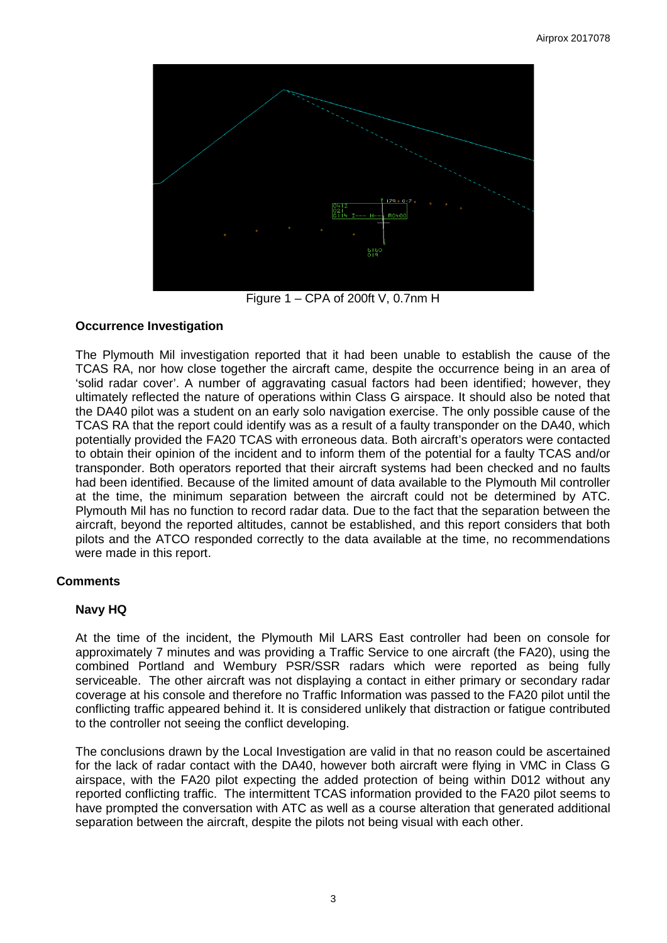

Figure 1 – CPA of 200ft V, 0.7nm H

## **Occurrence Investigation**

The Plymouth Mil investigation reported that it had been unable to establish the cause of the TCAS RA, nor how close together the aircraft came, despite the occurrence being in an area of 'solid radar cover'. A number of aggravating casual factors had been identified; however, they ultimately reflected the nature of operations within Class G airspace. It should also be noted that the DA40 pilot was a student on an early solo navigation exercise. The only possible cause of the TCAS RA that the report could identify was as a result of a faulty transponder on the DA40, which potentially provided the FA20 TCAS with erroneous data. Both aircraft's operators were contacted to obtain their opinion of the incident and to inform them of the potential for a faulty TCAS and/or transponder. Both operators reported that their aircraft systems had been checked and no faults had been identified. Because of the limited amount of data available to the Plymouth Mil controller at the time, the minimum separation between the aircraft could not be determined by ATC. Plymouth Mil has no function to record radar data. Due to the fact that the separation between the aircraft, beyond the reported altitudes, cannot be established, and this report considers that both pilots and the ATCO responded correctly to the data available at the time, no recommendations were made in this report.

# **Comments**

# **Navy HQ**

At the time of the incident, the Plymouth Mil LARS East controller had been on console for approximately 7 minutes and was providing a Traffic Service to one aircraft (the FA20), using the combined Portland and Wembury PSR/SSR radars which were reported as being fully serviceable. The other aircraft was not displaying a contact in either primary or secondary radar coverage at his console and therefore no Traffic Information was passed to the FA20 pilot until the conflicting traffic appeared behind it. It is considered unlikely that distraction or fatigue contributed to the controller not seeing the conflict developing.

The conclusions drawn by the Local Investigation are valid in that no reason could be ascertained for the lack of radar contact with the DA40, however both aircraft were flying in VMC in Class G airspace, with the FA20 pilot expecting the added protection of being within D012 without any reported conflicting traffic. The intermittent TCAS information provided to the FA20 pilot seems to have prompted the conversation with ATC as well as a course alteration that generated additional separation between the aircraft, despite the pilots not being visual with each other.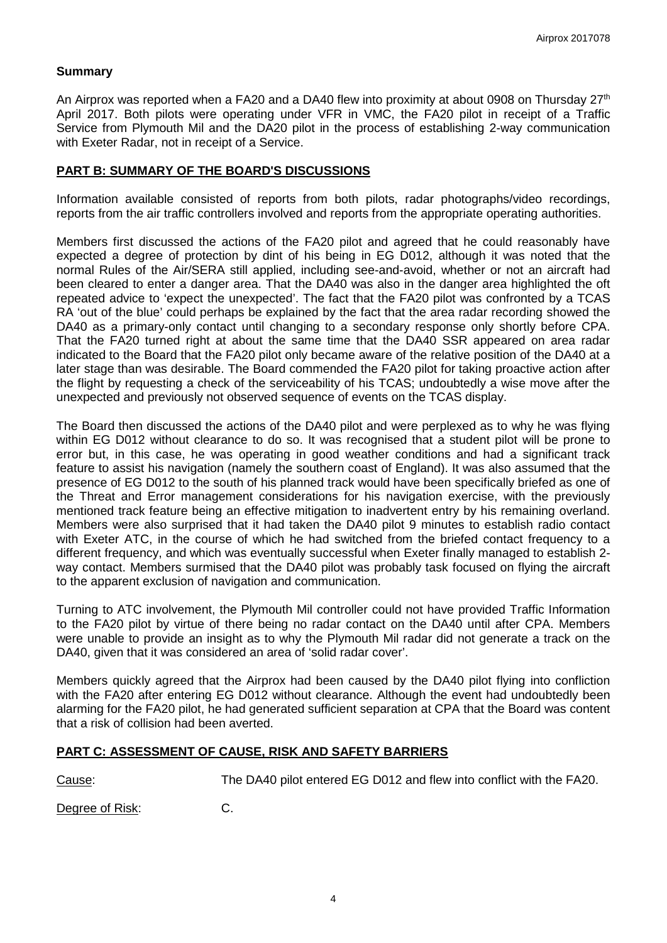## **Summary**

An Airprox was reported when a FA20 and a DA40 flew into proximity at about 0908 on Thursday 27<sup>th</sup> April 2017. Both pilots were operating under VFR in VMC, the FA20 pilot in receipt of a Traffic Service from Plymouth Mil and the DA20 pilot in the process of establishing 2-way communication with Exeter Radar, not in receipt of a Service.

## **PART B: SUMMARY OF THE BOARD'S DISCUSSIONS**

Information available consisted of reports from both pilots, radar photographs/video recordings, reports from the air traffic controllers involved and reports from the appropriate operating authorities.

Members first discussed the actions of the FA20 pilot and agreed that he could reasonably have expected a degree of protection by dint of his being in EG D012, although it was noted that the normal Rules of the Air/SERA still applied, including see-and-avoid, whether or not an aircraft had been cleared to enter a danger area. That the DA40 was also in the danger area highlighted the oft repeated advice to 'expect the unexpected'. The fact that the FA20 pilot was confronted by a TCAS RA 'out of the blue' could perhaps be explained by the fact that the area radar recording showed the DA40 as a primary-only contact until changing to a secondary response only shortly before CPA. That the FA20 turned right at about the same time that the DA40 SSR appeared on area radar indicated to the Board that the FA20 pilot only became aware of the relative position of the DA40 at a later stage than was desirable. The Board commended the FA20 pilot for taking proactive action after the flight by requesting a check of the serviceability of his TCAS; undoubtedly a wise move after the unexpected and previously not observed sequence of events on the TCAS display.

The Board then discussed the actions of the DA40 pilot and were perplexed as to why he was flying within EG D012 without clearance to do so. It was recognised that a student pilot will be prone to error but, in this case, he was operating in good weather conditions and had a significant track feature to assist his navigation (namely the southern coast of England). It was also assumed that the presence of EG D012 to the south of his planned track would have been specifically briefed as one of the Threat and Error management considerations for his navigation exercise, with the previously mentioned track feature being an effective mitigation to inadvertent entry by his remaining overland. Members were also surprised that it had taken the DA40 pilot 9 minutes to establish radio contact with Exeter ATC, in the course of which he had switched from the briefed contact frequency to a different frequency, and which was eventually successful when Exeter finally managed to establish 2 way contact. Members surmised that the DA40 pilot was probably task focused on flying the aircraft to the apparent exclusion of navigation and communication.

Turning to ATC involvement, the Plymouth Mil controller could not have provided Traffic Information to the FA20 pilot by virtue of there being no radar contact on the DA40 until after CPA. Members were unable to provide an insight as to why the Plymouth Mil radar did not generate a track on the DA40, given that it was considered an area of 'solid radar cover'.

Members quickly agreed that the Airprox had been caused by the DA40 pilot flying into confliction with the FA20 after entering EG D012 without clearance. Although the event had undoubtedly been alarming for the FA20 pilot, he had generated sufficient separation at CPA that the Board was content that a risk of collision had been averted.

### **PART C: ASSESSMENT OF CAUSE, RISK AND SAFETY BARRIERS**

Cause: The DA40 pilot entered EG D012 and flew into conflict with the FA20.

Degree of Risk: C.